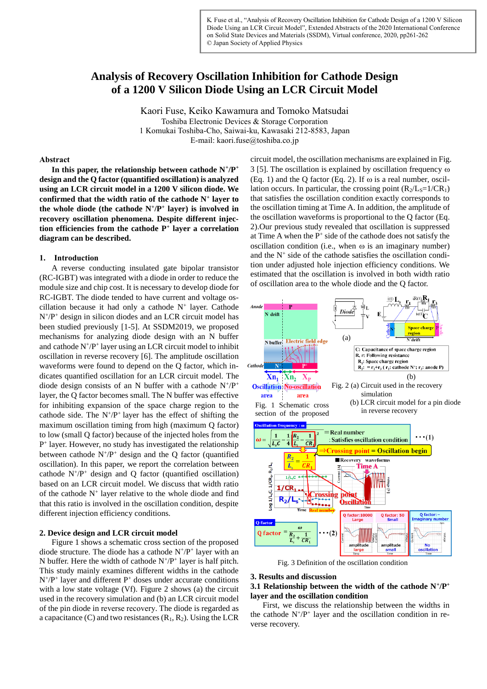K. Fuse et al., "Analysis of Recovery Oscillation Inhibition for Cathode Design of a 1200 V Silicon Diode Using an LCR Circuit Model", Extended Abstracts of the 2020 International Conference on Solid State Devices and Materials (SSDM), Virtual conference, 2020, pp261-262 © Japan Society of Applied Physics

# **Analysis of Recovery Oscillation Inhibition for Cathode Design of a 1200 V Silicon Diode Using an LCR Circuit Model**

Kaori Fuse, Keiko Kawamura and Tomoko Matsudai Toshiba Electronic Devices & Storage Corporation 1 Komukai Toshiba-Cho, Saiwai-ku, Kawasaki 212-8583, Japan E-mail: kaori.fuse@toshiba.co.jp

#### **Abstract**

**In this paper, the relationship between cathode N<sup>+</sup> /P<sup>+</sup> design and the Q factor (quantified oscillation) is analyzed using an LCR circuit model in a 1200 V silicon diode. We confirmed that the width ratio of the cathode N<sup>+</sup> layer to the whole diode (the cathode N<sup>+</sup> /P<sup>+</sup> layer) is involved in recovery oscillation phenomena. Despite different injection efficiencies from the cathode P<sup>+</sup> layer a correlation diagram can be described.**

### **1. Introduction**

A reverse conducting insulated gate bipolar transistor (RC-IGBT) was integrated with a diode in order to reduce the module size and chip cost. It is necessary to develop diode for RC-IGBT. The diode tended to have current and voltage oscillation because it had only a cathode  $N^+$  layer. Cathode N<sup>+</sup> /P<sup>+</sup> design in silicon diodes and an LCR circuit model has been studied previously [1-5]. At SSDM2019, we proposed mechanisms for analyzing diode design with an N buffer and cathode  $N^+/P^+$  layer using an LCR circuit model to inhibit oscillation in reverse recovery [6]. The amplitude oscillation waveforms were found to depend on the Q factor, which indicates quantified oscillation for an LCR circuit model. The diode design consists of an N buffer with a cathode  $N^+/P^+$ layer, the Q factor becomes small. The N buffer was effective for inhibiting expansion of the space charge region to the cathode side. The  $N^+/P^+$  layer has the effect of shifting the maximum oscillation timing from high (maximum Q factor) to low (small Q factor) because of the injected holes from the P<sup>+</sup> layer. However, no study has investigated the relationship between cathode  $N^+/P^+$  design and the Q factor (quantified oscillation). In this paper, we report the correlation between cathode  $N^+/P^+$  design and Q factor (quantified oscillation) based on an LCR circuit model. We discuss that width ratio of the cathode  $N^+$  layer relative to the whole diode and find that this ratio is involved in the oscillation condition, despite different injection efficiency conditions.

## **2. Device design and LCR circuit model**

Figure 1 shows a schematic cross section of the proposed diode structure. The diode has a cathode  $N^+/P^+$  layer with an N buffer. Here the width of cathode  $N^+/P^+$  layer is half pitch. This study mainly examines different widths in the cathode  $N^+/P^+$  layer and different  $P^+$  doses under accurate conditions with a low state voltage (Vf). Figure 2 shows (a) the circuit used in the recovery simulation and (b) an LCR circuit model of the pin diode in reverse recovery. The diode is regarded as a capacitance (C) and two resistances  $(R_1, R_2)$ . Using the LCR

circuit model, the oscillation mechanisms are explained in Fig. 3 [5]. The oscillation is explained by oscillation frequency  $\omega$ (Eq. 1) and the Q factor (Eq. 2). If  $\omega$  is a real number, oscillation occurs. In particular, the crossing point  $(R_2/L_S=1/CR_1)$ that satisfies the oscillation condition exactly corresponds to the oscillation timing at Time A. In addition, the amplitude of the oscillation waveforms is proportional to the Q factor (Eq. 2).Our previous study revealed that oscillation is suppressed at Time A when the  $P^+$  side of the cathode does not satisfy the oscillation condition (i.e., when  $\omega$  is an imaginary number) and the  $N^+$  side of the cathode satisfies the oscillation condition under adjusted hole injection efficiency conditions. We estimated that the oscillation is involved in both width ratio of oscillation area to the whole diode and the Q factor.



Fig. 3 Definition of the oscillation condition

# **3. Results and discussion**

**3.1 Relationship between the width of the cathode N<sup>+</sup> /P<sup>+</sup> layer and the oscillation condition**

First, we discuss the relationship between the widths in the cathode  $N^+/P^+$  layer and the oscillation condition in reverse recovery.